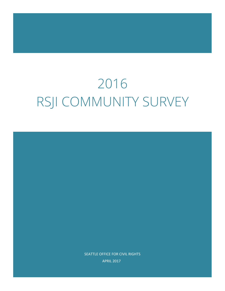# 2016 RSJI COMMUNITY SURVEY

SEATTLE OFFICE FOR CIVIL RIGHTS APRIL 2017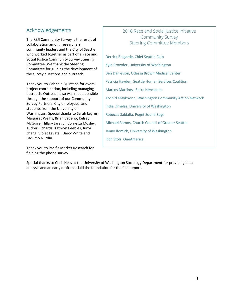# Acknowledgements

The RSJI Community Survey is the result of collaboration among researchers, community leaders and the City of Seattle who worked together as part of a Race and Social Justice Community Survey Steering Committee. We thank the Steering Committee for guiding the development of the survey questions and outreach.

Thank you to Gabriela Quintana for overall project coordination, including managing outreach. Outreach also was made possible through the support of our Community Survey Partners, City employees, and students from the University of Washington. Special thanks to Sarah Leyrer, Margaret Weihs, Brian Cedeno, Kelsey McGuire, Hillary Jaregui, Cornetta Mosley, Tucker Richards, Kathryn Peebles, Junyi Zhang, Violet Lavatai, Darcy White and Fadumo Nurdin.

Thank you to Pacific Market Research for fielding the phone survey.

### 2016 Race and Social Justice Initiative Community Survey Steering Committee Members

Derrick Belgarde, Chief Seattle Club Kyle Crowder, University of Washington Ben Danielson, Odessa Brown Medical Center Patricia Hayden, Seattle Human Services Coalition Marcos Martinez, Entre Hermanos Xochitl Maykovich, Washington Community Action Network India Ornelas, University of Washington Rebecca Saldaña, Puget Sound Sage Michael Ramos, Church Council of Greater Seattle Jenny Romich, University of Washington Rich Stolz, OneAmerica

Special thanks to Chris Hess at the University of Washington Sociology Department for providing data analysis and an early draft that laid the foundation for the final report.

j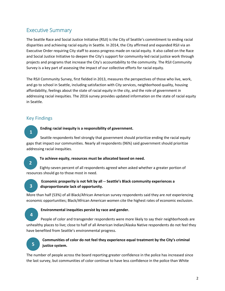# Executive Summary

The Seattle Race and Social Justice Initiative (RSJI) is the City of Seattle's commitment to ending racial disparities and achieving racial equity in Seattle. In 2014, the City affirmed and expanded RSJI via an Executive Order requiring City staff to assess progress made on racial equity. It also called on the Race and Social Justice Initiative to deepen the City's support for community-led racial justice work through projects and programs that increase the City's accountability to the community. The RSJI Community Survey is a key part of assessing the impact of our collective efforts for racial equity.

The RSJI Community Survey, first fielded in 2013, measures the perspectives of those who live, work, and go to school in Seattle, including satisfaction with City services, neighborhood quality, housing affordability, feelings about the state of racial equity in the city, and the role of government in addressing racial inequities. The 2016 survey provides updated information on the state of racial equity in Seattle.

### Key Findings

#### **Ending racial inequity is a responsibility of government.**

Seattle respondents feel strongly that government should prioritize ending the racial equity gaps that impact our communities. Nearly all respondents (96%) said government should prioritize addressing racial inequities.

**2**

**1**

#### **To achieve equity, resources must be allocated based on need.**

Eighty-seven percent of all respondents agreed when asked whether a greater portion of resources should go to those most in need.

# **3**

#### **Economic prosperity is not felt by all -- Seattle's Black community experiences a disproportionate lack of opportunity.**

More than half (53%) of all Black/African American survey respondents said they are *not* experiencing economic opportunities; Black/African American women cite the highest rates of economic exclusion.

#### **Environmental inequities persist by race and gender.**

People of color and transgender respondents were more likely to say their neighborhoods are unhealthy places to live; close to half of all American Indian/Alaska Native respondents do not feel they have benefited from Seattle's environmental progress.



**4**

#### **Communities of color do not feel they experience equal treatment by the City's criminal justice system.**

The number of people across the board reporting greater confidence in the police has increased since the last survey, but communities of color continue to have less confidence in the police than White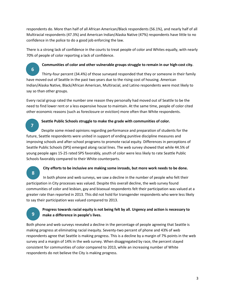respondents do. More than half of all African American/Black respondents (56.1%), and nearly half of all Multiracial respondents (47.3%) and American Indian/Alaska Native (47%) respondents have little to no confidence in the police to do a good job enforcing the law.

There is a strong lack of confidence in the courts to treat people of color and Whites equally, with nearly 70% of people of color reporting a lack of confidence.

**Communities of color and other vulnerable groups struggle to remain in our high-cost city.** Thirty-four percent (34.4%) of those surveyed responded that they or someone in their family have moved out of Seattle in the past two years due to the rising cost of housing. American Indian/Alaska Native, Black/African American, Multiracial, and Latino respondents were most likely to say so than other groups. **6**

Every racial group rated the number one reason they personally had moved out of Seattle to be the need to find lower rent or a less expensive house to maintain. At the same time, people of color cited other economic reasons (such as foreclosure or eviction) more often than White respondents.

**Seattle Public Schools struggle to make the grade with communities of color.**

Despite some mixed opinions regarding performance and preparation of students for the future, Seattle respondents were united in support of ending punitive discipline measures and improving schools and after-school programs to promote racial equity. Differences in perceptions of Seattle Public Schools (SPS) emerged along racial lines. The web survey showed that while 44.5% of young people ages 15-25 rated SPS favorably, youth of color were less likely to rate Seattle Public Schools favorably compared to their White counterparts.

**8**

**7**

#### **City efforts to be inclusive are making some inroads, but more work needs to be done.**

In both phone and web surveys, we saw a decline in the number of people who felt their participation in City processes was valued. Despite this overall decline, the web survey found communities of color and lesbian, gay and bisexual respondents felt their participation was valued at a greater rate than reported in 2013. This did not hold for transgender respondents who were less likely to say their participation was valued compared to 2013.

# **9**

#### **Progress towards racial equity is not being felt by all. Urgency and action is necessary to make a difference in people's lives.**

Both phone and web surveys revealed a decline in the percentage of people agreeing that Seattle is making progress at eliminating racial inequity. Seventy-two percent of phone and 43% of web respondents agree that Seattle is making progress. This is a decline by a margin of 7% points in the web survey and a margin of 14% in the web survey. When disaggregated by race, the percent stayed consistent for communities of color compared to 2013, while an increasing number of White respondents do not believe the City is making progress.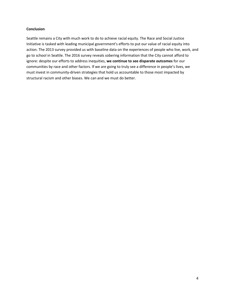#### **Conclusion**

Seattle remains a City with much work to do to achieve racial equity. The Race and Social Justice Initiative is tasked with leading municipal government's efforts to put our value of racial equity into action. The 2013 survey provided us with baseline data on the experiences of people who live, work, and go to school in Seattle. The 2016 survey reveals sobering information that the City cannot afford to ignore: despite our efforts to address inequities, **we continue to see disparate outcomes** for our communities by race and other factors. If we are going to truly see a difference in people's lives, we must invest in community-driven strategies that hold us accountable to those most impacted by structural racism and other biases. We can and we must do better.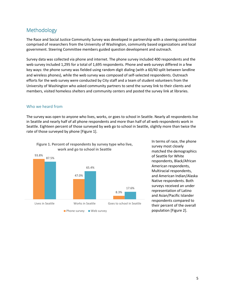# Methodology

The Race and Social Justice Community Survey was developed in partnership with a steering committee comprised of researchers from the University of Washington, community based organizations and local government. Steering Committee members guided question development and outreach.

Survey data was collected via phone and internet. The phone survey included 400 respondents and the web survey included 1,295 for a total of 1,695 respondents. Phone and web surveys differed in a few key ways: the phone survey was fielded using random digit dialing (with a 60/40 split between landline and wireless phones), while the web survey was composed of self-selected respondents. Outreach efforts for the web survey were conducted by City staff and a team of student volunteers from the University of Washington who asked community partners to send the survey link to their clients and members, visited homeless shelters and community centers and posted the survey link at libraries.

#### Who we heard from

The survey was open to anyone who lives, works, or goes to school in Seattle. Nearly all respondents live in Seattle and nearly half of all phone respondents and more than half of all web respondents work in Seattle. Eighteen percent of those surveyed by web go to school in Seattle, slightly more than twice the rate of those surveyed by phone [Figure 1].



**Figure 1. Percent of respondents by survey type who live, work and go to school in Seattle**

In terms of race, the phone survey most closely matched the demographics of Seattle for White respondents, Black/African American respondents, Multiracial respondents, and American Indian/Alaska Native respondents. Both surveys received an under representation of Latino and Asian/Pacific Islander respondents compared to their percent of the overall population [Figure 2].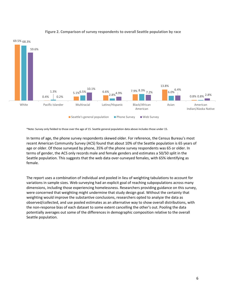

#### **Figure 2. Comparison of survey respondents to overall Seattle population by race**

\*Note: Survey only fielded to those over the age of 15. Seattle general population data above includes those under 15.

In terms of age, the phone survey respondents skewed older. For reference, the Census Bureau's most recent American Community Survey (ACS) found that about 10% of the Seattle population is 65 years of age or older. Of those surveyed by phone, 35% of the phone survey respondents was 65 or older. In terms of gender, the ACS only records male and female genders and estimates a 50/50 split in the Seattle population. This suggests that the web data over-surveyed females, with 65% identifying as female.

The report uses a combination of individual and pooled in lieu of weighting tabulations to account for variations in sample sizes. Web surveying had an explicit goal of reaching subpopulations across many dimensions, including those experiencing homelessness. Researchers providing guidance on this survey, were concerned that weighting might undermine that study design goal. Without the certainty that weighting would improve the substantive conclusions, researchers opted to analyze the data as observed/collected, and use pooled estimates as an alternative way to show overall distributions, with the non-response bias of each dataset to some extent cancelling the other's out. Pooling the data potentially averages out some of the differences in demographic composition relative to the overall Seattle population.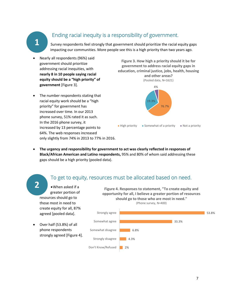# **1**

# Ending racial inequity is a responsibility of government.

Survey respondents feel strongly that government should prioritize the racial equity gaps impacting our communities. More people see this is a high priority than two years ago.

- Nearly all respondents (96%) said government should prioritize addressing racial inequities, with **nearly 8 in 10 people saying racial equity should be a "high priority" of government** [Figure 3].
- The number respondents stating that racial equity work should be a "high priority" for government has increased over time. In our 2013 phone survey, 51% rated it as such. In the 2016 phone survey, it increased by 13 percentage points to 64%. The web responses increased only slightly from 74% in 2013 to 77% in 2016.

**Figure 3. How high a priority should it be for government to address racial equity gaps in education, criminal justice, jobs, health, housing and other areas?** (Pooled data, N=1621)



• **The urgency and responsibility for government to act was clearly reflected in responses of Black/African American and Latino respondents,** 95% and 80% of whom said addressing these gaps should be a high priority (pooled data).

# To get to equity, resources must be allocated based on need.

•When asked if a greater portion of resources should go to those most in need to create equity for all, 87% agreed [pooled data]. **2**

• Over half (53.8%) of all phone respondents strongly agreed [Figure 4].

**Figure 4. Responses to statement, "To create equity and opportunity for all, I believe a greater portion of resources should go to those who are most in need."** (Phone survey, N=400)

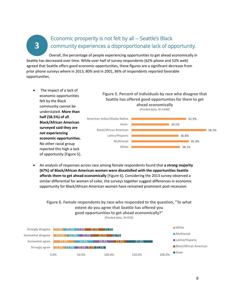**3**

# Economic prosperity is not felt by all -- Seattle's Black community experiences a disproportionate lack of opportunity.

Overall, the percentage of people experiencing opportunities to get ahead economically in Seattle has decreased over time. While over half of survey respondents (62% phone and 52% web) agreed that Seattle offers good economic opportunities, these figures are a significant decrease from prior phone surveys where in 2013, 80% and in 2001, 86% of respondents reported favorable opportunities.

The impact of a lack of economic opportunities felt by the Black community cannot be understated. **More than half (58.5%) of all Black/African American surveyed said they are**  *not* **experiencing economic opportunities.** No other racial group reported this high a lack of opportunity [Figure 5].

**Figure 5. Percent of individuals by race who disagree that Seattle has offered good opportunties for them to get ahead economically**



• An analysis of responses across race among female respondents found that **a strong majority (67%) of Black/African American women were dissatisfied with the opportunities Seattle affords them to get ahead economically** [Figure 6]**.** Considering the 2013 survey observed a similar differential for women of color, the surveys together suggest differences in economic opportunity for Black/African American women have remained prominent post-recession.

**Figure 6. Female respondents by race who responded to the question, "To what extent do you agree that Seattle has offered you good opportunities to get ahead economically?"** (Pooled data, N=916)

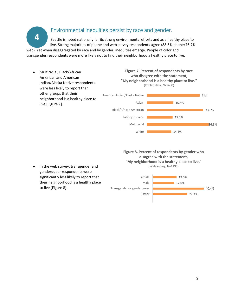# Environmental inequities persist by race and gender.

Seattle is noted nationally for its strong environmental efforts and as a healthy place to live. Strong majorities of phone and web survey respondents agree (88.5% phone/76.7% web). Yet when disaggregated by race and by gender, inequities emerge. People of color and

transgender respondents were more likely not to find their neighborhood a healthy place to live.

• Multiracial, Black/African American and American Indian/Alaska Native respondents were less likely to report than other groups that their neighborhood is a healthy place to live [Figure 7].

**4**

**Figure 7. Percent of respondents by race who disagree with the statement, "My neighborhood is a healthy place to live."**  (Pooled data, N=1480)



**Figure 8. Percent of respondents by gender who disagree with the statement, "My neighborhood is a healthy place to live."**  (Web survey, N=1195)

genderqueer respondents were significantly less likely to report that their neighborhood is a healthy place to live [Figure 8].  $\blacksquare$  27.3% 40.4% 17.0% 19.0% Other Transgender or genderqueer Male Female

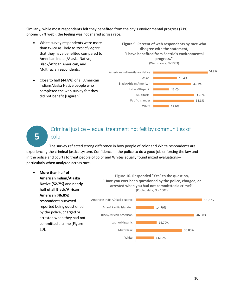Similarly, while most respondents felt they benefited from the city's environmental progress (71% phone/ 67% web), the feeling was not shared across race.

White survey respondents were more than twice as likely to *strongly agree*  that they have benefited compared to American Indian/Alaska Native, Black/African American, and Multiracial respondents.

• Close to half (44.8%) of all American Indian/Alaska Native people who completed the web survey felt they

did not benefit [Figure 9].

**Figure 9. Percent of web respondents by race who disagree with the statement, "I have benefited from Seattle's environmental progress."** (Web survey, N=1033)



# **5**

# Criminal justice -- equal treatment not felt by communities of color.

The survey reflected strong difference in how people of color and White respondents are experiencing the criminal justice system. Confidence in the police to do a good job enforcing the law and in the police and courts to treat people of color and Whites equally found mixed evaluations particularly when analyzed across race.

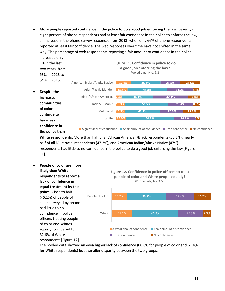• **More people reported confidence in the police to do a good job enforcing the law.** Seventyeight percent of phone respondents had at least fair confidence in the police to enforce the law, an increase in the phone survey responses from 2013, when only 66% of phone respondents reported at least fair confidence. The web responses over time have not shifted in the same way. The percentage of web respondents reporting a fair amount of confidence in the police increased only



**Figure 11. Confidence in police to do** 

**White respondents.** More than half of all African American/Black respondents (56.1%), nearly half of all Multiracial respondents (47.3%), and American Indian/Alaska Native (47%) respondents had little to no confidence in the police to do a good job enforcing the law [Figure 11].

• **People of color are more likely than White respondents to report a lack of confidence in equal treatment by the police.** Close to half (45.1%) of people of color surveyed by phone had little to no confidence in police officers treating people of color and Whites equally, compared to 32.6% of White respondents [Figure 12].

1% in the last



The pooled data showed an even higher lack of confidence (68.8% for people of color and 61.4% for White respondents) but a smaller disparity between the two groups.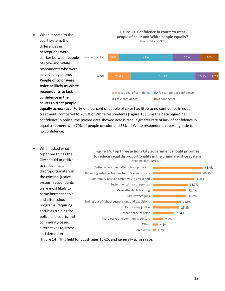

**equally across race.** Forty-one percent of people of color had little to no confidence in equal treatment, compared to 20.9% of White respondents [Figure 13]. Like the data regarding confidence in police, the pooled data showed across race, a greater rate of lack of confidence in equal treatment with 70% of people of color and 63% of White respondents reporting little to no confidence.

• When asked what top three things the City should prioritize to reduce racial disproportionately in the criminal justice system, respondents were most likely to name better schools and after school programs, requiring anti-bias training for police and courts and community-based alternatives to arrest and detention

#### **Figure 14. Top three actions City government should prioritize to reduce racial disproportionality in the criminal justice system** (Pooled data, N=1674)



[Figure 14]. This held for youth ages 15-25, and generally across race.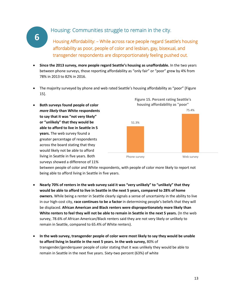# Housing: Communities struggle to remain in the city.

**6**

Housing Affordability: – While across race people regard Seattle's housing affordability as poor, people of color and lesbian, gay, bisexual, and transgender respondents are disproportionately feeling pushed out.

**Figure 15. Percent rating Seattle's** 

- **Since the 2013 survey, more people regard Seattle's housing as unaffordable.** In the two years between phone surveys, those reporting affordability as "only fair" or "poor" grew by 4% from 78% in 2013 to 82% in 2016.
- The majority surveyed by phone and web rated Seattle's housing affordability as "poor" [Figure 15].
- **Both surveys found people of color** *more likely* **than White respondents to say that it was "not very likely" or "unlikely" that they would be able to afford to live in Seattle in 5 years.** The web survey found a greater percentage of respondents across the board stating that they would likely not be able to afford living in Seattle in five years. Both surveys showed a difference of 11% 51.3% 75.4% Phone survey **Web survey housing affordability as "poor"**

between people of color and White respondents, with people of color more likely to report not being able to afford living in Seattle in five years.

- **Nearly 70% of renters in the web survey said it was "very unlikely" to "unlikely" that they would be able to afford to live in Seattle in the next 5 years, compared to 28% of home owners.** While being a renter in Seattle clearly signals a sense of uncertainty in the ability to live in our high-cost city, **race continues to be a factor** in determining people's beliefs that they will be displaced. **African American and Black renters were disproportionately more likely than White renters to feel they will not be able to remain in Seattle in the next 5 years.** (In the web survey, 78.6% of African American/Black renters said they are not very likely or unlikely to remain in Seattle, compared to 65.4% of White renters).
- **In the web survey, transgender people of color were most likely to say they would be unable to afford living in Seattle in the next 5 years. In the web survey,** 80% of transgender/genderqueer people of color stating that it was unlikely they would be able to remain in Seattle in the next five years. Sixty-two percent (63%) of white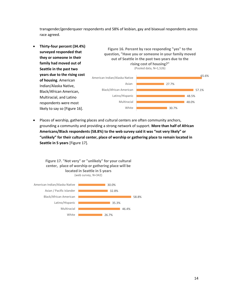transgender/genderqueer respondents and 58% of lesbian, gay and bisexual respondents across race agreed.



Places of worship, gathering places and cultural centers are often community anchors, grounding a community and providing a strong network of support. **More than half of African Americans/Black respondents (58.8%) to the web survey said it was "not very likely" or "unlikely" for their cultural center, place of worship or gathering place to remain located in Seattle in 5 years** [Figure 17].

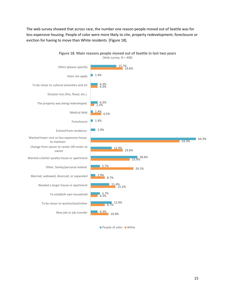The web survey showed that across race, the number one reason people moved out of Seattle was for less expensive housing. People of color were more likely to cite, property redevelopment, foreclosure or eviction for having to move than White residents [Figure 18].



**People of color White**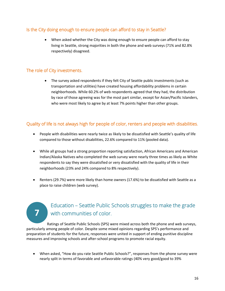### Is the City doing enough to ensure people can afford to stay in Seattle?

• When asked whether the City was doing enough to ensure people can afford to stay living in Seattle, strong majorities in both the phone and web surveys (71% and 82.8% respectively) disagreed.

#### The role of City investments.

**7**

• The survey asked respondents if they felt City of Seattle public investments (such as transportation and utilities) have created housing affordability problems in certain neighborhoods. While 60.2% of web respondents agreed that they had, the distribution by race of those agreeing was for the most part similar, except for Asian/Pacific Islanders, who were most likely to agree by at least 7% points higher than other groups.

### Quality of life is not always high for people of color, renters and people with disabilities.

- People with disabilities were nearly twice as likely to be dissatisfied with Seattle's quality of life compared to those without disabilities, 22.6% compared to 11% (pooled data).
- While all groups had a strong proportion reporting satisfaction, African Americans and American Indian/Alaska Natives who completed the web survey were nearly three times as likely as White respondents to say they were dissatisfied or very dissatisfied with the quality of life in their neighborhoods (23% and 24% compared to 8% respectively).
- Renters (29.7%) were more likely than home owners (17.6%) to be dissatisfied with Seattle as a place to raise children (web survey).

# Education – Seattle Public Schools struggles to make the grade with communities of color.

Ratings of Seattle Public Schools (SPS) were mixed across both the phone and web surveys, particularly among people of color. Despite some mixed opinions regarding SPS's performance and preparation of students for the future, responses were united in support of ending punitive discipline measures and improving schools and after-school programs to promote racial equity.

• When asked, "How do you rate Seattle Public Schools?", responses from the phone survey were nearly split in terms of favorable and unfavorable ratings (40% very good/good to 39%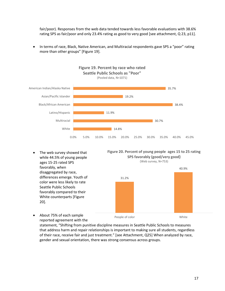fair/poor). Responses from the web data tended towards less favorable evaluations with 38.6% rating SPS as fair/poor and only 23.4% rating as good to very good [see attachment, Q 23, p11].

• In terms of race, Black, Native American, and Multiracial respondents gave SPS a "poor" rating more than other groups" [Figure 19].



• The web survey showed that while 44.5% of young people ages 15-25 rated SPS favorably, when disaggregated by race, differences emerge. Youth of color were less likely to rate Seattle Public Schools favorably compared to their White counterparts [Figure 20].



(Web survey, N=753)



• About 75% of each sample reported agreement with the

statement, "Shifting from punitive discipline measures in Seattle Public Schools to measures that address harm and repair relationships is important to making sure all students, regardless of their race, receive fair and just treatment." [see Attachment, Q25] When analyzed by race, gender and sexual orientation, there was strong consensus across groups.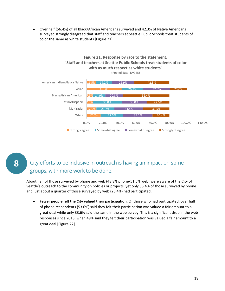• Over half (56.4%) of all Black/African Americans surveyed and 42.3% of Native Americans surveyed strongly disagreed that staff and teachers at Seattle Public Schools treat students of color the same as white students [Figure 21].



# **8**

# City efforts to be inclusive in outreach is having an impact on some groups, with more work to be done.

About half of those surveyed by phone and web (48.8% phone/51.5% web) were aware of the City of Seattle's outreach to the community on policies or projects, yet only 35.4% of those surveyed by phone and just about a quarter of those surveyed by web (26.4%) had participated.

• **Fewer people felt the City valued their participation.** Of those who had participated, over half of phone respondents (53.6%) said they felt their participation was valued a fair amount to a great deal while only 33.6% said the same in the web survey. This is a significant drop in the web responses since 2013, when 49% said they felt their participation was valued a fair amount to a great deal [Figure 22].

18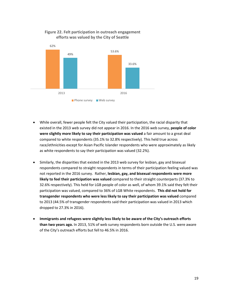

#### **Figure 22. Felt participation in outreach engagement efforts was valued by the City of Seattle**

- While overall, fewer people felt the City valued their participation, the racial disparity that existed in the 2013 web survey did not appear in 2016. In the 2016 web survey, **people of color were slightly more likely to say their participation was valued** a fair amount to a great deal compared to white respondents (35.1% to 32.8% respectively). This held true across race/ethnicities except for Asian Pacific Islander respondents who were approximately as likely as white respondents to say their participation was valued (32.2%).
- Similarly, the disparities that existed in the 2013 web survey for lesbian, gay and bisexual respondents compared to straight respondents in terms of their participation feeling valued was not reported in the 2016 survey. Rather, **lesbian, gay, and bisexual respondents were more likely to feel their participation was valued** compared to their straight counterparts (37.3% to 32.6% respectively). This held for LGB people of color as well, of whom 39.1% said they felt their participation was valued, compared to 36% of LGB White respondents. **This did not hold for transgender respondents who were less likely to say their participation was valued** compared to 2013 (44.5% of transgender respondents said their participation was valued in 2013 which dropped to 27.3% in 2016).
- **Immigrants and refugees were slightly less likely to be aware of the City's outreach efforts than two years ago.** In 2013, 51% of web survey respondents born outside the U.S. were aware of the City's outreach efforts but fell to 46.5% in 2016.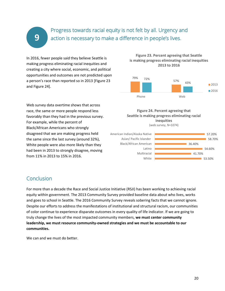# Progress towards racial equity is not felt by all. Urgency and action is necessary to make a difference in people's lives.

In 2016, fewer people said they believe Seattle is making progress eliminating racial inequities and creating a city where social, economic, and political opportunities and outcomes are not predicted upon a person's race than reported so in 2013 [Figure 23 and Figure 24].

Web survey data overtime shows that across race, the same or more people respond less favorably than they had in the previous survey. For example, while the percent of Black/African Americans who strongly disagreed that we are making progress held the same since the last survey (around 32%), White people were also more likely than they had been in 2013 to strongly disagree, moving from 11% in 2013 to 15% in 2016.

#### **Figure 23. Percent agreeing that Seattle is making progress eliminating racial inequities 2013 to 2016**



#### **Figure 24. Percent agreeing that Seattle is making progress eliminating racial inequities**

(web survey, N=1074)



## Conclusion

**9**

For more than a decade the Race and Social Justice Initiative (RSJI) has been working to achieving racial equity within government. The 2013 Community Survey provided baseline data about who lives, works and goes to school in Seattle. The 2016 Community Survey reveals sobering facts that we cannot ignore. Despite our efforts to address the manifestations of institutional and structural racism, our communities of color continue to experience disparate outcomes in every quality of life indicator. If we are going to truly change the lives of the most impacted community members, **we must center community leadership, we must resource community-owned strategies and we must be accountable to our communities.**

We can and we must do better.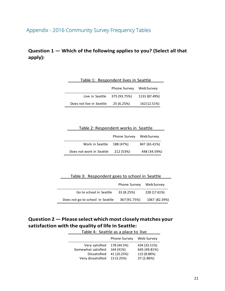# Appendix - 2016 Community Survey Frequency Tables

# **Question 1 — Which of the following applies to you? (Select all that apply):**

| Table 1: Respondent lives in Seattle |                     |                  |
|--------------------------------------|---------------------|------------------|
|                                      | <b>Phone Survey</b> | <b>WebSurvey</b> |
| Live in Seattle                      | 375 (93.75%)        | 1133 (87.49%)    |
| Does not live in Seattle             | 25 (6.25%)          | 162 (12.51%)     |

| Table 2: Respondent works in Seattle |                     |              |
|--------------------------------------|---------------------|--------------|
|                                      | <b>Phone Survey</b> | Web Survey   |
| Work in Seattle                      | 188 (47%)           | 847 (65.41%) |
| Does not work in Seattle             | 212 (53%)           | 448 (34.59%) |

Table 3: Respondent goes to school in Seattle

|                                  | <b>Phone Survey</b> | <b>Web Survey</b> |
|----------------------------------|---------------------|-------------------|
| Go to school in Seattle          | 33 (8.25%)          | 228 (17.61%)      |
| Does not go to school in Seattle | 367 (91.75%)        | 1067 (82.39%)     |

# **Question 2 —Please selectwhich most closely matches your satisfaction with the quality of life in Seattle:**

| Table 4: Seattle as a place to live |             |              |
|-------------------------------------|-------------|--------------|
| Web Survey<br><b>Phone Survey</b>   |             |              |
| Very satisfied                      | 178 (44.5%) | 434 (33.51%) |
| Somewhat satisfied                  | 164 (41%)   | 645 (49.81%) |
| Dissatisfied                        | 41 (10.25%) | 115 (8.88%)  |
| Very dissatisfied                   | 13 (3.25%)  | 37 (2.86%)   |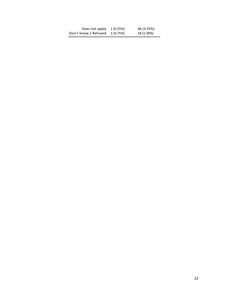| Does not apply       | 1(0.25%)  | 46 (3.55%) |
|----------------------|-----------|------------|
| Don't know / Refused | 3 (0.75%) | 18 (1.39%) |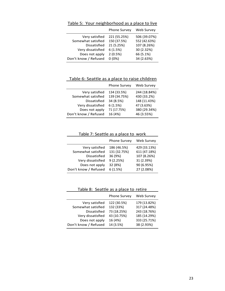|                    | <b>Phone Survey</b> | Web Survey   |
|--------------------|---------------------|--------------|
| Very satisfied     | 221 (55.25%)        | 506 (39.07%) |
| Somewhat satisfied | 150 (37.5%)         | 552 (42.63%) |
| Dissatisfied       | 21 (5.25%)          | 107 (8.26%)  |

Very dissatisfied 6 (1.5%) 30 (2.32%) Does not apply 2 (0.5%) 66 (5.1%) Don't know / Refused 0 (0%) 34 (2.63%)

Table 5: Your neighborhood as a place to live

Table 6: Seattle as a place to raise children

|                      | Phone Survey | <b>Web Survey</b> |
|----------------------|--------------|-------------------|
| Very satisfied       | 134 (33.5%)  | 244 (18.84%)      |
| Somewhat satisfied   | 139 (34.75%) | 430 (33.2%)       |
| Dissatisfied         | 34 (8.5%)    | 148 (11.43%)      |
| Very dissatisfied    | 6(1.5%)      | 47 (3.63%)        |
| Does not apply       | 71 (17.75%)  | 380 (29.34%)      |
| Don't know / Refused | 16 (4%)      | 46 (3.55%)        |
|                      |              |                   |

Table 7: Seattle as a place to work

|                                      | <b>Phone Survey</b>         | Web Survey                   |
|--------------------------------------|-----------------------------|------------------------------|
| Very satisfied<br>Somewhat satisfied | 186 (46.5%)<br>131 (32.75%) | 429 (33.13%)<br>611 (47.18%) |
| Dissatisfied                         | 36 (9%)                     | 107 (8.26%)                  |
| Very dissatisfied                    | 9(2.25%)                    | 31 (2.39%)                   |
| Does not apply                       | 32 (8%)                     | 90 (6.95%)                   |
| Don't know / Refused                 | 6(1.5%)                     | 27 (2.08%)                   |

Table 8: Seattle as a place to retire

|                      | <b>Phone Survey</b> | Web Survey   |
|----------------------|---------------------|--------------|
| Very satisfied       | 122 (30.5%)         | 179 (13.82%) |
| Somewhat satisfied   | 132 (33%)           | 317 (24.48%) |
| Dissatisfied         | 73 (18.25%)         | 243 (18.76%) |
| Very dissatisfied    | 43 (10.75%)         | 185 (14.29%) |
| Does not apply       | 16 (4%)             | 333 (25.71%) |
| Don't know / Refused | 14 (3.5%)           | 38 (2.93%)   |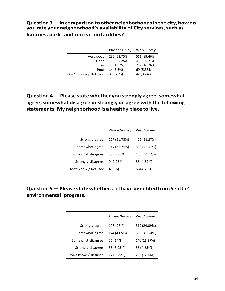**Question3—In comparisontootherneighborhoodsin the city,howdo you rate your neighborhood's availability of City services,such as libraries, parks and recreation facilities?**

|                      | <b>Phone Survey</b> | Web Survey   |
|----------------------|---------------------|--------------|
| Very good            | 235 (58.75%)        | 511 (39.46%) |
| Good                 | 105 (26.25%)        | 456 (35.21%) |
| Fair                 | 43 (10.75%)         | 217 (16.76%) |
| Poor                 | 14 (3.5%)           | 69 (5.33%)   |
| Don't know / Refused | 3(0.75%)            | 42 (3.24%)   |

**Question 4 — Please state whether you strongly agree,somewhat agree,somewhat disagree orstrongly disagree with the following statements: My neighborhood is a healthy place to live.**

|                      | <b>Phone Survey</b> | <b>Web Survey</b> |
|----------------------|---------------------|-------------------|
| Strongly agree       | 207 (51.75%)        | 405 (31.27%)      |
| Somewhat agree       | 147 (36.75%)        | 588 (45.41%)      |
| Somewhat disagree    | 33 (8.25%)          | 188 (14.52%)      |
| Strongly disagree    | 9(2.25%)            | 56 (4.32%)        |
| Don't know / Refused | 4 (1%)              | 58 (4.48%)        |

# **Question5—Pleasestatewhether... : IhavebenefitedfromSeattle's environmental progress.**

|                      | <b>Phone Survey</b> | Web Survey   |
|----------------------|---------------------|--------------|
| Strongly agree       | 108 (27%)           | 312 (24.09%) |
| Somewhat agree       | 174 (43.5%)         | 560 (43.24%) |
| Somewhat disagree    | 56 (14%)            | 146 (11.27%) |
| Strongly disagree    | 35 (8.75%)          | 55 (4.25%)   |
| Don't know / Refused | 27 (6.75%)          | 222 (17.14%) |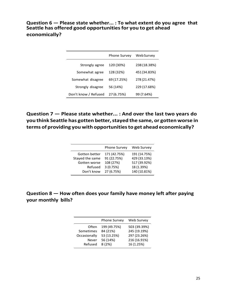**Question 6 — Please state whether... : To what extent do you agree that Seattle has offered good opportunitiesfor you to get ahead economically?**

|                      | <b>Phone Survey</b> | <b>Web Survey</b> |
|----------------------|---------------------|-------------------|
| Strongly agree       | 120 (30%)           | 238 (18.38%)      |
| Somewhat agree       | 128 (32%)           | 451 (34.83%)      |
| Somewhat disagree    | 69 (17.25%)         | 278 (21.47%)      |
| Strongly disagree    | 56 (14%)            | 229 (17.68%)      |
| Don't know / Refused | 27 (6.75%)          | 99 (7.64%)        |

**Question 7 — Please state whether... : And over the last two years do you think Seattle has gotten better,stayed the same, or gotten worse in terms of providing you with opportunitiesto get ahead economically?**

|                 | <b>Phone Survey</b> | Web Survey   |
|-----------------|---------------------|--------------|
| Gotten better   | 171 (42.75%)        | 191 (14.75%) |
| Stayed the same | 91 (22.75%)         | 429 (33.13%) |
| Gotten worse    | 108 (27%)           | 517 (39.92%) |
| Refused         | 3(0.75%)            | 18 (1.39%)   |
| Don't know      | 27 (6.75%)          | 140 (10.81%) |
|                 |                     |              |

**Question 8 — How often does your family have money left after paying your monthly bills?**

|              | Phone Survey | Web Survey   |
|--------------|--------------|--------------|
| Often        | 199 (49.75%) | 503 (39.39%) |
| Sometimes    | 84 (21%)     | 245 (19.19%) |
| Occasionally | 53 (13.25%)  | 297 (23.26%) |
| <b>Never</b> | 56 (14%)     | 216 (16.91%) |
| Refused      | 8(2%)        | 16 (1.25%)   |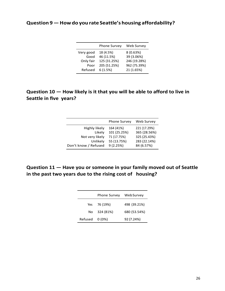## **Question 9—Howdo you rate Seattle's housing affordability?**

| Web Survey                                                                                |
|-------------------------------------------------------------------------------------------|
| 8(0.63%)                                                                                  |
| 39 (3.06%)                                                                                |
| 246 (19.28%)                                                                              |
| 962 (75.39%)                                                                              |
| 21 (1.65%)                                                                                |
| <b>Phone Survey</b><br>18 (4.5%)<br>46 (11.5%)<br>125 (31.25%)<br>205 (51.25%)<br>6(1.5%) |

# **Question 10 — How likely is it that you will be able to afford to live in Seattle in five years?**

|                      | <b>Phone Survey</b> | Web Survey   |
|----------------------|---------------------|--------------|
| Highly likely        | 164 (41%)           | 221 (17.29%) |
| Likely               | 101 (25.25%)        | 365 (28.56%) |
| Not very likely      | 71 (17.75%)         | 325 (25.43%) |
| Unlikely             | 55 (13.75%)         | 283 (22.14%) |
| Don't know / Refused | 9(2.25%)            | 84 (6.57%)   |

# **Question 11 — Have you or someone in your family moved out of Seattle in the past two years due to the rising cost of housing?**

|                | <b>Phone Survey</b> | Web Survey   |
|----------------|---------------------|--------------|
|                | Yes 76 (19%)        | 498 (39.21%) |
|                | No 324 (81%)        | 680 (53.54%) |
| Refused 0 (0%) |                     | 92 (7.24%)   |
|                |                     |              |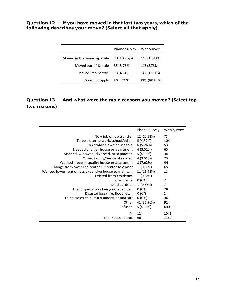#### **Question 12 — If you have moved in that last two years, which of the following describes your move? (Select all that apply)**

|                             | <b>Phone Survey</b> | WebSurvey    |
|-----------------------------|---------------------|--------------|
| Stayed in the same zip code | 43 (10.75%)         | 148 (11.43%) |
| Moved out of Seattle        | 35 (8.75%)          | 113 (8.73%)  |
| Moved into Seattle          | 18 (4.5%)           | 149 (11.51%) |
| Does not apply              | 304 (76%)           | 885 (68.34%) |

# **Question 13 — And what were the main reasons you moved? (Select top two reasons)**

|                                                       | Phone Survey | Web Survey   |
|-------------------------------------------------------|--------------|--------------|
| New job or job transfer                               | 12 (10.53%)  | 71           |
| To be closer to work/school/other                     | 5 (4.39%)    | 104          |
| To establish own household                            | 6(5.26%)     | 53           |
| Needed a larger house or apartment                    | 4(3.51%)     | 65           |
| Married, widowed, divorced, or separated              | 5 (4.39%)    | 30           |
| Other, family/personal related                        | 4 (3.51%)    | 73           |
| Wanted a better quality house or apartment            | 8(7.02%)     | 94           |
| Change from owner to renter OR renter to owner        | 1(0.88%)     | 65           |
| Wanted lower rent or less expensive house to maintain | 21 (18.42%)  | 11           |
| Evicted from residence                                | 1(0.88%)     | 11           |
| Foreclosure                                           | $0(0\%)$     | 2            |
| Medical debt                                          | 1(0.88%)     | 7            |
| The property was being redeveloped                    | $0(0\%)$     | 28           |
| Disaster loss (fire, flood, etc.)                     | $0(0\%)$     | $\mathbf{1}$ |
| To be closer to cultural amenities and art            | $0(0\%)$     | 40           |
| Other                                                 | 41 (35.96%)  | 91           |
| Refused                                               | 5 (4.39%)    | 644          |
| N                                                     | 114          | 1541         |
| <b>Total Respondents</b>                              | 96           | 1130         |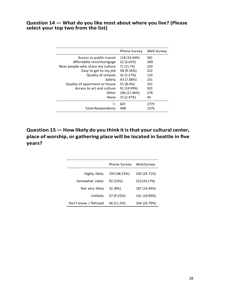#### **Question 14 — What do you like most about where you live? (Please select your top two from the list)**

|                                  | <b>Phone Survey</b> | <b>Web Survey</b> |
|----------------------------------|---------------------|-------------------|
| Access to public transit         | 118 (19.44%)        | 581               |
| Affordable rent/mortgage         | 22 (3.62%)          | 289               |
| Near people who share my culture | 71 (11.7%)          | 220               |
| Easy to get to my job            | 58 (9.56%)          | 422               |
| Quality of schools               | 32 (5.27%)          | 123               |
| Safety                           | 43 (7.08%)          | 231               |
| Quality of apartment or house    | 51 (8.4%)           | 351               |
| Access to art and culture        | 91 (14.99%)         | 301               |
| Other                            | 106 (17.46%)        | 278               |
| None                             | 15 (2.47%)          | 43                |
| N                                | 607                 | 2779              |
| <b>Total Respondents</b>         | 400                 | 1276              |

**Question 15 — How likely do you think itisthat your cultural center, place of worship, or gathering place will be located in Seattle in five years?**

|                      | <b>Phone Survey</b> | <b>Web Survey</b> |
|----------------------|---------------------|-------------------|
| Highly likely        | 193 (48.25%)        | 320 (24.71%)      |
| Somewhat Likely      | 92 (23%)            | 313 (24.17%)      |
| Not very likely      | 32 (8%)             | 187 (14.44%)      |
| Unlikely             | 37 (9.25%)          | 141 (10.89%)      |
| Don't know / Refused | 46 (11.5%)          | 334 (25.79%)      |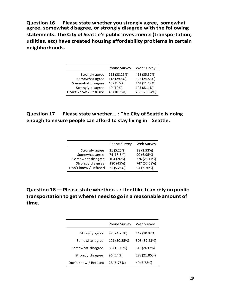**Question 16 — Please state whether you strongly agree, somewhat agree, somewhat disagree, or strongly disagree with the following statements. The City of Seattle's public investments(transportation, utilities, etc) have created housing affordability problems in certain neighborhoods.**

|                      | <b>Phone Survey</b> | Web Survey   |
|----------------------|---------------------|--------------|
| Strongly agree       | 153 (38.25%)        | 458 (35.37%) |
| Somewhat agree       | 118 (29.5%)         | 322 (24.86%) |
| Somewhat disagree    | 46 (11.5%)          | 144 (11.12%) |
| Strongly disagree    | 40 (10%)            | 105 (8.11%)  |
| Don't know / Refused | 43 (10.75%)         | 266 (20.54%) |

## **Question 17 — Please state whether... : The City of Seattle is doing enough to ensure people can afford to stay living in Seattle.**

|                      | Phone Survey | <b>Web Survey</b> |
|----------------------|--------------|-------------------|
| Strongly agree       | 21 (5.25%)   | 38 (2.93%)        |
| Somewhat agree       | 74 (18.5%)   | 90 (6.95%)        |
| Somewhat disagree    | 104 (26%)    | 326 (25.17%)      |
| Strongly disagree    | 180 (45%)    | 747 (57.68%)      |
| Don't know / Refused | 21 (5.25%)   | 94 (7.26%)        |

**Question 18—Please state whether... : Ifeel like I can rely on public transportation to get where I need to go in a reasonable amount of time.**

|                      | <b>Phone Survey</b> | <b>Web Survey</b> |
|----------------------|---------------------|-------------------|
| Strongly agree       | 97 (24.25%)         | 142 (10.97%)      |
| Somewhat agree       | 121 (30.25%)        | 508 (39.23%)      |
| Somewhat disagree    | 63 (15.75%)         | 313 (24.17%)      |
| Strongly disagree    | 96 (24%)            | 283 (21.85%)      |
| Don't know / Refused | 23 (5.75%)          | 49 (3.78%)        |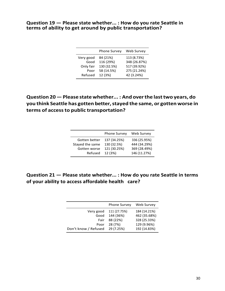#### **Question 19 — Please state whether... : How do you rate Seattle in terms of ability to get around by public transportation?**

|           | <b>Phone Survey</b> | Web Survey   |
|-----------|---------------------|--------------|
| Very good | 84 (21%)            | 113 (8.73%)  |
| Good      | 116 (29%)           | 348 (26.87%) |
| Only fair | 130 (32.5%)         | 517 (39.92%) |
| Poor      | 58 (14.5%)          | 275 (21.24%) |
| Refused   | 12 (3%)             | 42 (3.24%)   |

**Question 20—Please statewhether... : And overthe lasttwo years, do you think Seattle has gotten better,stayed the same, or gotten worse in terms of accessto public transportation?**

|                 | <b>Phone Survey</b> | Web Survey   |
|-----------------|---------------------|--------------|
| Gotten better   | 137 (34.25%)        | 336 (25.95%) |
| Stayed the same | 130 (32.5%)         | 444 (34.29%) |
| Gotten worse    | 121 (30.25%)        | 369 (28.49%) |
| Refused         | 12 (3%)             | 146 (11.27%) |

## **Question 21 — Please state whether... : How do you rate Seattle in terms of your ability to access affordable health care?**

|                      | <b>Phone Survey</b> | Web Survey                  |
|----------------------|---------------------|-----------------------------|
| Very good            | 111 (27.75%)        | 184 (14.21%)                |
| Good                 | 144 (36%)           | 462 (35.68%)                |
| Fair<br>Poor         | 88 (22%)<br>28 (7%) | 328 (25.33%)<br>129 (9.96%) |
| Don't know / Refused | 29 (7.25%)          | 192 (14.83%)                |
|                      |                     |                             |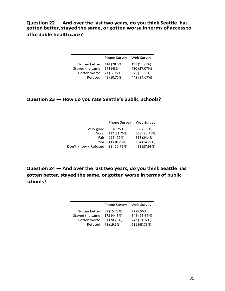**Question 22 — And over the last two years, do you think Seattle has gotten better,stayed the same, or gotten worse in terms of accessto affordable healthcare?**

|                 | <b>Phone Survey</b> | Web Survey   |
|-----------------|---------------------|--------------|
| Gotten better   | 114 (28.5%)         | 191 (14.75%) |
| Stayed the same | 172 (43%)           | 480 (37.07%) |
| Gotten worse    | 71 (17.75%)         | 175 (13.51%) |
| Refused         | 43 (10.75%)         | 449 (34.67%) |

#### **Question 23 — How do you rate Seattle's public schools?**

|                      | <b>Phone Survey</b> | Web Survey   |
|----------------------|---------------------|--------------|
| Very good            | 33 (8.25%)          | 38 (2.93%)   |
| Good                 | 127 (31.75%)        | 265 (20.46%) |
| Fair                 | 116 (29%)           | 316 (24.4%)  |
| Poor                 | 41 (10.25%)         | 184 (14.21%) |
| Don't know / Refused | 83 (20.75%)         | 492 (37.99%) |
|                      |                     |              |

**Question 24 — And over the last two years, do you think Seattle has gotten better, stayed the same, or gotten worse in terms of public schools?**

|                 | <b>Phone Survey</b> | Web Survey   |
|-----------------|---------------------|--------------|
| Gotten better   | 63 (15.75%)         | 72 (5.56%)   |
| Stayed the same | 178 (44.5%)         | 345 (26.64%) |
| Gotten worse    | 81 (20.25%)         | 247 (19.07%) |
| Refused         | 78 (19.5%)          | 631 (48.73%) |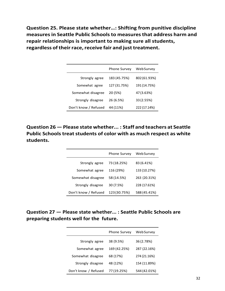**Question 25. Please state whether…: Shifting from punitive discipline measuresin Seattle Public Schoolsto measuresthat address harm and repair relationships is important to making sure all students, regardless oftheirrace,receive fair and just treatment.**

|                      | Phone Survey | Web Survey   |
|----------------------|--------------|--------------|
| Strongly agree       | 183 (45.75%) | 802 (61.93%) |
| Somewhat agree       | 127 (31.75%) | 191 (14.75%) |
| Somewhat disagree    | 20 (5%)      | 47 (3.63%)   |
| Strongly disagree    | 26 (6.5%)    | 33 (2.55%)   |
| Don't know / Refused | 44 (11%)     | 222 (17.14%) |

**Question 26 — Please state whether... : Staff and teachers at Seattle Public Schoolstreatstudents of color with as much respect as white students.**

|                      | <b>Phone Survey</b> | Web Survey   |
|----------------------|---------------------|--------------|
| Strongly agree       | 73 (18.25%)         | 83 (6.41%)   |
| Somewhat agree       | 116 (29%)           | 133 (10.27%) |
| Somewhat disagree    | 58 (14.5%)          | 263 (20.31%) |
| Strongly disagree    | 30 (7.5%)           | 228 (17.61%) |
| Don't know / Refused | 123 (30.75%)        | 588 (45.41%) |

## **Question 27 — Please state whether... : Seattle Public Schools are preparing students well for the future.**

|                      | <b>Phone Survey</b> | Web Survey   |
|----------------------|---------------------|--------------|
| Strongly agree       | 38 (9.5%)           | 36 (2.78%)   |
| Somewhat agree       | 169 (42.25%)        | 287 (22.16%) |
| Somewhat disagree    | 68 (17%)            | 274 (21.16%) |
| Strongly disagree    | 48 (12%)            | 154 (11.89%) |
| Don't know / Refused | 77 (19.25%)         | 544 (42.01%) |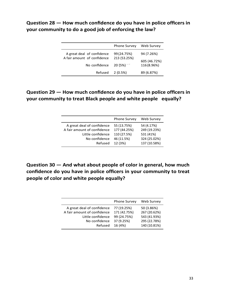## **Question 28 — How much confidence do you have in police officers in your community to do a good job of enforcing the law?**

|                             | <b>Phone Survey</b> | Web Survey   |
|-----------------------------|---------------------|--------------|
| A great deal of confidence  | 99 (24.75%)         | 94 (7.26%)   |
| A fair amount of confidence | 213 (53.25%)        | 605 (46.72%) |
| No confidence               | 20 (5%)             | 116 (8.96%)  |
| Refused                     | 2(0.5%)             | 89 (6.87%)   |

## **Question 29 — How much confidence do you have in police officers in your community to treat Black people and white people equally?**

|                                                                                                 | <b>Phone Survey</b>                                      | Web Survey                                              |
|-------------------------------------------------------------------------------------------------|----------------------------------------------------------|---------------------------------------------------------|
| A great deal of confidence<br>A fair amount of confidence<br>Little confidence<br>No confidence | 55 (13.75%)<br>177 (44.25%)<br>110 (27.5%)<br>46 (11.5%) | 54 (4.17%)<br>249 (19.23%)<br>531 (41%)<br>324 (25.02%) |
| Refused                                                                                         | 12 (3%)                                                  | 137 (10.58%)                                            |

**Question 30 — And what about people of color in general, how much confidence do you have in police officers in your community to treat people of color and white people equally?**

|                             | <b>Phone Survey</b> | Web Survey   |
|-----------------------------|---------------------|--------------|
| A great deal of confidence  | 77 (19.25%)         | 50 (3.86%)   |
| A fair amount of confidence | 171 (42.75%)        | 267 (20.62%) |
| Little confidence           | 99 (24.75%)         | 543 (41.93%) |
| No confidence               | 37 (9.25%)          | 295 (22.78%) |
| Refused                     | 16 (4%)             | 140 (10.81%) |
|                             |                     |              |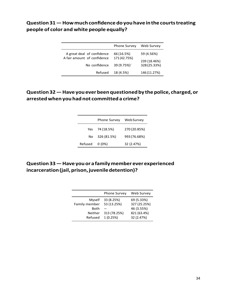# **Question31—Howmuchconfidencedoyouhaveinthecourtstreating people of color and white people equally?**

|                                              | <b>Phone Survey</b>        | Web Survey                   |
|----------------------------------------------|----------------------------|------------------------------|
| A great deal of confidence                   | 66 (16.5%)                 | 59 (4.56%)                   |
| A fair amount of confidence<br>No confidence | 171 (42.75%)<br>39 (9.75%) | 239 (18.46%)<br>328 (25.33%) |
| Refused                                      | 18 (4.5%)                  | 146 (11.27%)                 |

## **Question32—Haveyoueverbeenquestionedby thepolice, charged,or arrestedwhenyouhadnot committeda crime?**

|         | <b>Phone Survey</b> | Web Survey   |
|---------|---------------------|--------------|
|         | Yes 74 (18.5%)      | 270 (20.85%) |
| No.     | 326 (81.5%)         | 993 (76.68%) |
| Refused | $0(0\%)$            | 32 (2.47%)   |

## **Question33—Haveyouorafamilymembereverexperienced incarceration(jail,prison,juveniledetention)?**

|               | <b>Phone Survey</b> | Web Survey   |
|---------------|---------------------|--------------|
| Myself        | 33 (8.25%)          | 69 (5.33%)   |
| Family member | 53 (13.25%)         | 327 (25.25%) |
| Both          |                     | 46 (3.55%)   |
| Neither       | 313 (78.25%)        | 821 (63.4%)  |
| Refused       | 1(0.25%)            | 32 (2.47%)   |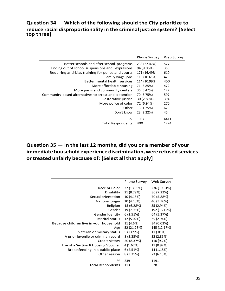## **Question 34 — Which of the following should the City prioritize to reduce racial disproportionality in the criminal justice system? [Select top three]**

|                                                      | <b>Phone Survey</b> | Web Survey |
|------------------------------------------------------|---------------------|------------|
| Better schools and after school programs             | 233 (22.47%)        | 577        |
| Ending out of school suspensions and expulsions      | 94 (9.06%)          | 356        |
| Requiring anti-bias training for police and courts   | 171 (16.49%)        | 610        |
| Family wage jobs                                     | 110 (10.61%)        | 429        |
| Better mental health services                        | 114 (10.99%)        | 450        |
| More affordable housing                              | 71 (6.85%)          | 472        |
| More parks and community centers                     | 36 (3.47%)          | 127        |
| Community-based alternatives to arrest and detention | 70 (6.75%)          | 597        |
| Restorative justice                                  | 30 (2.89%)          | 394        |
| More police of color                                 | 72 (6.94%)          | 270        |
| Other                                                | 13 (1.25%)          | 67         |
| Don't know                                           | 23 (2.22%)          | 45         |
| N                                                    | 1037                | 4411       |
| <b>Total Respondents</b>                             | 400                 | 1274       |

# **Question 35 — In the last 12 months, did you or a member of your immediatehouseholdexperiencediscrimination,were refusedservices or treated unfairly because of: [Select all that apply]**

|                                         | Phone Survey | Web Survey   |
|-----------------------------------------|--------------|--------------|
| Race or Color                           | 32 (13.39%)  | 236 (19.81%) |
| Disability                              | 21 (8.79%)   | 86 (7.22%)   |
| Sexual orientation                      | 10 (4.18%)   | 70 (5.88%)   |
| National origin                         | 10 (4.18%)   | 40 (3.36%)   |
| Religion                                | 15 (6.28%)   | 35 (2.94%)   |
| Gender                                  | 19 (7.95%)   | 192 (16.12%) |
| Gender Identity                         | 6(2.51%)     | 64 (5.37%)   |
| Marital status                          | 12 (5.02%)   | 35 (2.94%)   |
| Because children live in your household | 11 (4.6%)    | 34 (0.03%)   |
| Age                                     | 52 (21.76%)  | 145 (12.17%) |
| Veteran or military status              | 5(2.09%)     | 11 (.01%)    |
| A prior juvenile or criminal record     | 8(3.35%)     | 32 (2.85%)   |
| Credit history                          | 20 (8.37%)   | 110 (9.2%)   |
| Use of a Section 8 Housing Voucher      | 4 (1.67%)    | 11 (0.92%)   |
| Breastfeeding in a public place         | 6(2.51%)     | 14 (1.18%)   |
| Other reason                            | 8(3.35%)     | 73 (6.13%)   |
| N                                       | 239          | 1191         |
| <b>Total Respondents</b>                | 113          | 528          |
|                                         |              |              |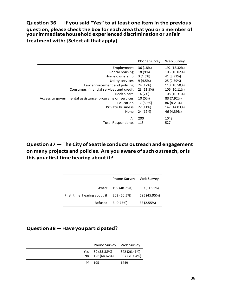## **Question 36 — If you said "Yes" to at least one item in the previous question, please check the box for each area that you or a member of yourimmediatehouseholdexperienceddiscriminationorunfair treatment with: [Select allthat apply]**

|                                                         | <b>Phone Survey</b> | Web Survey   |
|---------------------------------------------------------|---------------------|--------------|
| Employment                                              | 36 (18%)            | 192 (18.32%) |
| Rental housing                                          | 18 (9%)             | 105 (10.02%) |
| Home ownership                                          | 3(1.5%)             | 41 (3.91%)   |
| Utility services                                        | 9(4.5%)             | 25 (2.39%)   |
| Law enforcement and policing                            | 24 (12%)            | 110 (10.50%) |
| Consumer, financial services and credit                 | 23 (11.5%)          | 106 (10.11%) |
| Health care                                             | 14 (7%)             | 108 (10.31%) |
| Access to governmental assistance, programs or services | 10 (5%)             | 83 (7.92%)   |
| Education                                               | 17 (8.5%)           | 86 (8.21%)   |
| Private business                                        | 22 (11%)            | 147 (14.03%) |
| None                                                    | 24 (12%)            | 46 (4.39%)   |
|                                                         | 200                 | 1048         |
| <b>Total Respondents</b>                                | 113                 | 527          |

# **Question 37—The City of Seattle conductsoutreachand engagement on many projects and policies. Are you aware ofsuch outreach, oris this your firsttime hearing about it?**

|                             | <b>Phone Survey</b> | <b>WebSurvey</b> |
|-----------------------------|---------------------|------------------|
| Aware                       | 195 (48.75%)        | 667 (51.51%)     |
| First time hearing about it | 202 (50.5%)         | 595 (45.95%)     |
| Refused                     | 3(0.75%)            | 33 (2.55%)       |

### **Question38—Haveyouparticipated?**

| <b>Phone Survey</b>                | Web Survey                   |
|------------------------------------|------------------------------|
| Yes 69 (35.38%)<br>No 126 (64.62%) | 342 (26.41%)<br>907 (70.04%) |
| - 195                              | 1249                         |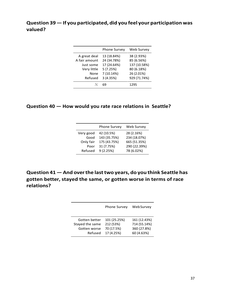## **Question 39—If you participated, did you feel your participation was valued?**

|               | <b>Phone Survey</b> | Web Survey   |
|---------------|---------------------|--------------|
| A great deal  | 13 (18.84%)         | 38 (2.93%)   |
| A fair amount | 24 (34.78%)         | 85 (6.56%)   |
| Just some     | 17 (24.64%)         | 137 (10.58%) |
| Very little   | 5(7.25%)            | 80 (6.18%)   |
| None          | 7 (10.14%)          | 26 (2.01%)   |
| Refused       | 3 (4.35%)           | 929 (71.74%) |
|               | 69                  | 1295         |

#### **Question 40 — How would you rate race relations in Seattle?**

|           | <b>Phone Survey</b> | Web Survey   |
|-----------|---------------------|--------------|
| Very good | 42 (10.5%)          | 28 (2.16%)   |
| Good      | 143 (35.75%)        | 234 (18.07%) |
| Only fair | 175 (43.75%)        | 665 (51.35%) |
| Poor      | 31 (7.75%)          | 290 (22.39%) |
| Refused   | 9(2.25%)            | 78 (6.02%)   |

**Question 41— And overthe lasttwo years, do you think Seattle has gotten better, stayed the same, or gotten worse in terms of race relations?**

|                 | <b>Phone Survey</b> | <b>WebSurvey</b> |
|-----------------|---------------------|------------------|
| Gotten better   | 101 (25.25%)        | 161 (12.43%)     |
| Stayed the same | 212 (53%)           | 714 (55.14%)     |
| Gotten worse    | 70 (17.5%)          | 360 (27.8%)      |
| Refused         | 17 (4.25%)          | 60 (4.63%)       |
|                 |                     |                  |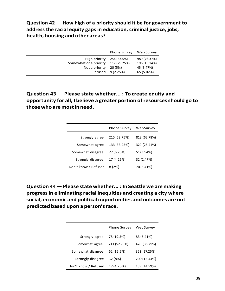**Question 42 — How high of a priority should it be for government to address the racial equity gaps in education, criminal justice, jobs, health, housing and other areas?**

|                                         | <b>Phone Survey</b>         | Web Survey                   |
|-----------------------------------------|-----------------------------|------------------------------|
| High priority<br>Somewhat of a priority | 254 (63.5%)<br>117 (29.25%) | 989 (76.37%)<br>196 (15.14%) |
| Not a priority                          | 20 (5%)                     | 45 (3.47%)                   |
|                                         | Refused 9 (2.25%)           | 65 (5.02%)                   |

**Question 43 — Please state whether... : To create equity and opportunity for all, I believe a greater portion ofresourcesshould go to thosewho are mostin need.**

|                      | <b>Phone Survey</b> | <b>Web Survey</b> |
|----------------------|---------------------|-------------------|
| Strongly agree       | 215 (53.75%)        | 813 (62.78%)      |
| Somewhat agree       | 133 (33.25%)        | 329 (25.41%)      |
| Somewhat disagree    | 27 (6.75%)          | 51 (3.94%)        |
| Strongly disagree    | 17 (4.25%)          | 32 (2.47%)        |
| Don't know / Refused | 8 (2%)              | 70(5.41%)         |

**Question 44— Please state whether... : In Seattle we are making progressin eliminating racial inequities and creating a city where social, economic and political opportunities and outcomes are not predicted based upon a person'srace.**

|                      | <b>Phone Survey</b> | Web Survey   |
|----------------------|---------------------|--------------|
| Strongly agree       | 78 (19.5%)          | 83 (6.41%)   |
| Somewhat agree       | 211 (52.75%)        | 470 (36.29%) |
| Somewhat disagree    | 62 (15.5%)          | 353 (27.26%) |
| Strongly disagree    | 32 (8%)             | 200 (15.44%) |
| Don't know / Refused | 17 (4.25%)          | 189 (14.59%) |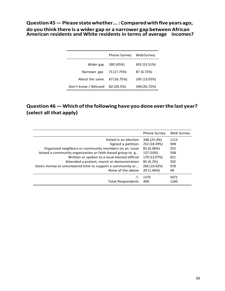**Question45—Pleasestatewhether... : Comparedwithfiveyearsago,** 

**do you think there is a wider gap or a narrower gap between African American residents and White residents in terms of average incomes?**

|                      | <b>Phone Survey</b> | <b>Web Survey</b> |
|----------------------|---------------------|-------------------|
| Wider gap            | 180 (45%)           | 693 (53.51%)      |
| Narrower gap         | 71 (17.75%)         | 87 (6.72%)        |
| About the same       | 67 (16.75%)         | 169 (13.05%)      |
| Don't know / Refused | 82 (20.5%)          | 346 (26.72%)      |

# **Question 46—Which ofthe following have you done overthe last year? (select all that apply)**

|                                                           | <b>Phone Survey</b> | Web Survey |
|-----------------------------------------------------------|---------------------|------------|
| Voted in an election                                      | 348 (25.4%)         | 1113       |
| Signed a petition                                         | 252 (18.39%)        | 949        |
| Organized neighbors or community members on an issue      | 83 (6.06%)          | 353        |
| Joined a community organization or faith-based group to g | 137 (10%)           | 506        |
| Written or spoken to a local elected official             | 179 (13.07%)        | 621        |
| Attended a protest, march or demonstration                | 85 (6.2%)           | 502        |
| Given money or volunteered time to support a community or | 266 (19.42%)        | 978        |
| None of the above                                         | 20 (1.46%)          | 49         |
|                                                           | 1370                | 5071       |
| <b>Total Respondents</b>                                  | 400                 | 1260       |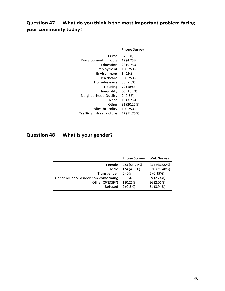# **Question 47 — What do you think is the most important problem facing your community today?**

|                          | Phone Survey |
|--------------------------|--------------|
| Crime                    | 32 (8%)      |
| Development Impacts      | 19 (4.75%)   |
| <b>Education</b>         | 23 (5.75%)   |
| Employment               | 1(0.25%)     |
| Fnvironment              | 8(2%)        |
| Healthcare               | 3(0.75%)     |
| Homelessness             | 30 (7.5%)    |
| Housing                  | 72 (18%)     |
| Inequality               | 66 (16.5%)   |
| Neighborhood Quality     | 2(0.5%)      |
| None                     | 15 (3.75%)   |
| Other                    | 81 (20.25%)  |
| Police brutality         | 1(0.25%)     |
| Traffic / Infrastructure | 47 (11.75%)  |
|                          |              |

## **Question 48 — What is your gender?**

|                                   | <b>Phone Survey</b> | <b>Web Survey</b> |
|-----------------------------------|---------------------|-------------------|
| Female                            | 223 (55.75%)        | 854 (65.95%)      |
| Male                              | 174 (43.5%)         | 330 (25.48%)      |
| Transgender                       | $0(0\%)$            | 5(0.39%)          |
| Genderqueer/Gender non-conforming | $0(0\%)$            | 29 (2.24%)        |
| Other (SPECIFY)                   | 1(0.25%)            | 26 (2.01%)        |
| Refused                           | 2(0.5%)             | 51 (3.94%)        |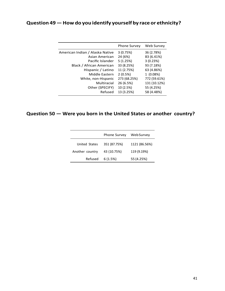# **Question 49—Howdo you identify yourself by race or ethnicity?**

|                                 | <b>Phone Survey</b> | Web Survey   |
|---------------------------------|---------------------|--------------|
| American Indian / Alaska Native | 3(0.75%)            | 36 (2.78%)   |
| Asian American                  | 24 (6%)             | 83 (6.41%)   |
| Pacific Islander                | 5(1.25%)            | 3(0.23%)     |
| Black / African American        | 33 (8.25%)          | 93 (7.18%)   |
| Hispanic / Latino               | 11 (2.75%)          | 63 (4.86%)   |
| Middle Eastern                  | 2(0.5%)             | 1(0.08%)     |
| White, non-Hispanic             | 273 (68.25%)        | 772 (59.61%) |
| Multiracial                     | 26 (6.5%)           | 131 (10.12%) |
| Other (SPECIFY)                 | 10 (2.5%)           | 55 (4.25%)   |
| Refused                         | 13 (3.25%)          | 58 (4.48%)   |
|                                 |                     |              |

# **Question 50 — Were you born in the United States or another country?**

|                 | <b>Phone Survey</b> | WebSurvey     |
|-----------------|---------------------|---------------|
| United States   | 351 (87.75%)        | 1121 (86.56%) |
| Another country | 43 (10.75%)         | 119 (9.19%)   |
| Refused         | 6(1.5%)             | 55 (4.25%)    |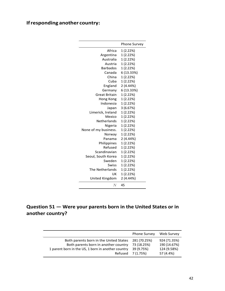# **Ifresponding another country:**

|                      | <b>Phone Survey</b> |
|----------------------|---------------------|
| Africa               | 1 (2.22%)           |
| Argentina            | 1 (2.22%)           |
| Australia            | 1(2.22%)            |
| Austria              | 1 (2.22%)           |
| <b>Barbados</b>      | 1(2.22%)            |
| Canada               | 6 (13.33%)          |
| China                | 1 (2.22%)           |
| Cuba                 | 1 (2.22%)           |
| England              | 2 (4.44%)           |
| Germany              | 6 (13.33%)          |
| Great Britain        | 1 (2.22%)           |
| Hong Kong            | 1(2.22%)            |
| Indonesia            | 1(2.22%)            |
| Japan                | 3(6.67%)            |
| Limerick, Ireland    | 1 (2.22%)           |
| Mexico               | 1 (2.22%)           |
| Netherlands          | 1 (2.22%)           |
| Nigeria              | 1 (2.22%)           |
| None of my business. | 1 (2.22%)           |
| Norway               | 1 (2.22%)           |
| Panama               | 2 (4.44%)           |
| Philippines          | 1 (2.22%)           |
| Refused              | 1 (2.22%)           |
| Scandinavian         | 1 (2.22%)           |
| Seoul, South Korea   | 1 (2.22%)           |
| Sweden               | 1 (2.22%)           |
| Swiss                | 1 (2.22%)           |
| The Netherlands      | 1 (2.22%)           |
| UK                   | 1 (2.22%)           |
| United Kingdom       | 2 (4.44%)           |
| N                    | 45                  |

# **Question 51 — Were your parents born in the United States or in another country?**

|                                                                                                                                                 | <b>Phone Survey</b>                                    | Web Survey                                               |
|-------------------------------------------------------------------------------------------------------------------------------------------------|--------------------------------------------------------|----------------------------------------------------------|
| Both parents born in the United States<br>Both parents born in another country<br>1 parent born in the US, 1 born in another country<br>Refused | 281 (70.25%)<br>73 (18.25%)<br>39 (9.75%)<br>7 (1.75%) | 924 (71.35%)<br>190 (14.67%)<br>124 (9.58%)<br>57 (4.4%) |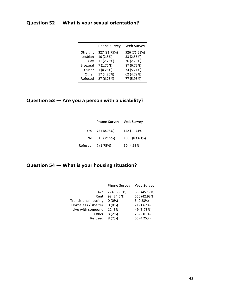## **Question 52 — What is your sexual orientation?**

|          | <b>Phone Survey</b> | Web Survey   |
|----------|---------------------|--------------|
| Straight | 327 (81.75%)        | 926 (71.51%) |
| Lesbian  | 10 (2.5%)           | 33 (2.55%)   |
| Gav      | 11 (2.75%)          | 36 (2.78%)   |
| Bisexual | 7(1.75%)            | 87 (6.72%)   |
| Queer    | 1(0.25%)            | 74 (5.71%)   |
| Other    | 17 (4.25%)          | 62 (4.79%)   |
| Refused  | 27 (6.75%)          | 77 (5.95%)   |

## **Question 53 — Are you a person with a disability?**

|         | Phone Survey | Web Survey    |
|---------|--------------|---------------|
| Yes     | 75 (18.75%)  | 152 (11.74%)  |
| No.     | 318 (79.5%)  | 1083 (83.63%) |
| Refused | 7 (1.75%)    | 60 (4.63%)    |

## **Question 54 — What is your housing situation?**

|                             | <b>Phone Survey</b> | Web Survey   |
|-----------------------------|---------------------|--------------|
| Own                         | 274 (68.5%)         | 585 (45.17%) |
| Rent                        | 98 (24.5%)          | 556 (42.93%) |
| <b>Transitional housing</b> | $0(0\%)$            | 3(0.23%)     |
| Homeless / shelter          | $0(0\%)$            | 21 (1.62%)   |
| Live with someone           | 12 (3%)             | 49 (3.78%)   |
| Other                       | 8(2%)               | 26 (2.01%)   |
| Refused                     | 8(2%)               | 55 (4.25%)   |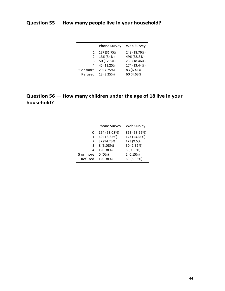# **Question 55 — How many people live in your household?**

|               | <b>Phone Survey</b> | Web Survey   |
|---------------|---------------------|--------------|
| 1             | 127 (31.75%)        | 243 (18.76%) |
| $\mathcal{P}$ | 136 (34%)           | 496 (38.3%)  |
| 3             | 50 (12.5%)          | 239 (18.46%) |
| 4             | 45 (11.25%)         | 174 (13.44%) |
| 5 or more     | 29 (7.25%)          | 83 (6.41%)   |
| Refused       | 13 (3.25%)          | 60 (4.63%)   |

# **Question 56 — How many children under the age of 18 live in your household?**

|           | <b>Phone Survey</b> | Web Survey   |
|-----------|---------------------|--------------|
| 0         | 164 (63.08%)        | 893 (68.96%) |
| 1         | 49 (18.85%)         | 173 (13.36%) |
| 2         | 37 (14.23%)         | 123 (9.5%)   |
| 3         | 8 (3.08%)           | 30 (2.32%)   |
| 4         | 1 (0.38%)           | 5 (0.39%)    |
| 5 or more | $0(0\%)$            | 2(0.15%)     |
| Refused   | 1 (0.38%)           | 69 (5.33%)   |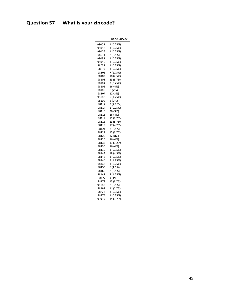# **Question 57 — What is your zipcode?**

|       | Phone Survey |
|-------|--------------|
| 98004 | 1 (0.25%)    |
| 98018 | 1 (0.25%)    |
| 98026 | 1 (0.25%)    |
| 98031 | 2(0.5%)      |
| 98038 | 1 (0.25%)    |
| 98055 | 1 (0.25%)    |
| 98057 | 1 (0.25%)    |
| 98077 | 1 (0.25%)    |
| 98101 | 7 (1.75%)    |
| 98102 | 10 (2.5%)    |
| 98103 | 23 (5.75%)   |
| 98104 | 3 (0.75%)    |
| 98105 | 16 (4%)      |
| 98106 | 8 (2%)       |
| 98107 | 12 (3%)      |
| 98108 | 5 (1.25%)    |
| 98109 | 8 (2%)       |
| 98112 | 9 (2.25%)    |
| 98114 | 1 (0.25%)    |
| 98115 | 36 (9%)      |
| 98116 | 16 (4%)      |
| 98117 | 11 (2.75%)   |
| 98118 | 23 (5.75%)   |
| 98119 | 17 (4.25%)   |
| 98121 | 2 (0.5%)     |
| 98122 | 15 (3.75%)   |
| 98125 | 32 (8%)      |
| 98126 | 16 (4%)      |
| 98133 | 13 (3.25%)   |
| 98136 | 16 (4%)      |
| 98139 | 1 (0.25%)    |
| 98144 | 18 (4.5%)    |
| 98145 | 1 (0.25%)    |
| 98146 | 7 (1.75%)    |
| 98148 | 1 (0.25%)    |
| 98155 | 6 (1.5%)     |
| 98166 | 2 (0.5%)     |
| 98168 | 7 (1.75%)    |
| 98177 | 4 (1%)       |
| 98178 | 15 (3.75%)   |
| 98188 | 2 (0.5%)     |
| 98199 | 11 (2.75%)   |
| 98223 | 1 (0.25%)    |
| 98275 | 1 (0.25%)    |
| 99999 | 15 (3.75%)   |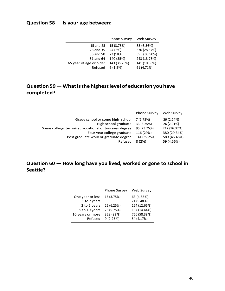## **Question 58 — Is your age between:**

| Web Survey<br><b>Phone Survey</b><br>15 (3.75%)<br>85 (6.56%)<br>15 and 25<br>370 (28.57%)<br>24 (6%)<br>26 and 35<br>395 (30.50%)<br>72 (18%)<br>36 and 50<br>140 (35%)<br>243 (18.76%)<br>51 and 64<br>143 (35.75%)<br>141 (10.88%)<br>65 year of age or older<br>6(1.5%)<br>61 (4.71%)<br>Refused |  |  |
|------------------------------------------------------------------------------------------------------------------------------------------------------------------------------------------------------------------------------------------------------------------------------------------------------|--|--|
|                                                                                                                                                                                                                                                                                                      |  |  |
|                                                                                                                                                                                                                                                                                                      |  |  |

# **Question 59—Whatisthe highestlevel of education you have completed?**

|                                                        | <b>Phone Survey</b> | Web Survey   |
|--------------------------------------------------------|---------------------|--------------|
| Grade school or some high school                       | 7 (1.75%)           | 29 (2.24%)   |
| High school graduate                                   | 33 (8.25%)          | 26 (2.01%)   |
| Some college, technical, vocational or two year degree | 95 (23.75%)         | 212 (16.37%) |
| Four year college graduate                             | 116 (29%)           | 380 (29.34%) |
| Post graduate work or graduate degree                  | 141 (35.25%)        | 589 (45.48%) |
| Refused                                                | 8(2%)               | 59 (4.56%)   |

## **Question 60 — How long have you lived, worked or gone to school in Seattle?**

|                  | <b>Phone Survey</b> | <b>Web Survey</b> |
|------------------|---------------------|-------------------|
| One year or less | 15 (3.75%)          | 63 (4.86%)        |
| 1 to 2 years     |                     | 71 (5.48%)        |
| 2 to 5 years     | 25 (6.25%)          | 164 (12.66%)      |
| 5 to 10 years    | 23 (5.75%)          | 187 (14.44%)      |
| 10 years or more | 328 (82%)           | 756 (58.38%)      |
| Refused          | 9(2.25%)            | 54 (4.17%)        |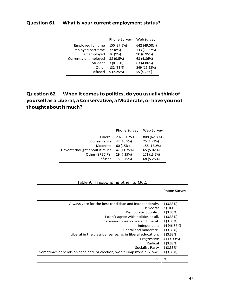### **Question 61 — What is your current employment status?**

|                           | <b>Phone Survey</b> | WebSurvey    |
|---------------------------|---------------------|--------------|
| Employed full time        | 150 (37.5%)         | 642 (49.58%) |
| <b>Employed part time</b> | 32 (8%)             | 133 (10.27%) |
| Self employed             | 36 (9%)             | 90 (6.95%)   |
| Currently unemployed      | 38 (9.5%)           | 63 (4.86%)   |
| Student                   | 3(0.75%)            | 63 (4.86%)   |
| Other                     | 132 (33%)           | 249 (19.23%) |
| Refused                   | 9(2.25%)            | 55 (4.25%)   |

# **Question 62— When it comesto politics, do you usually think of yourself as a Liberal, a Conservative, a Moderate, or have you not thought aboutitmuch?**

|                               | <b>Phone Survey</b> | <b>Web Survey</b> |
|-------------------------------|---------------------|-------------------|
| Liberal                       | 207 (51.75%)        | 808 (62.39%)      |
| Conservative                  | 42 (10.5%)          | 25 (1.93%)        |
| Moderate                      | 60 (15%)            | 158 (12.2%)       |
| Haven't thought about it much | 47 (11.75%)         | 65 (5.02%)        |
| Other (SPECIFY)               | 29 (7.25%)          | 171 (13.2%)       |
| Refused                       | 15 (3.75%)          | 68 (5.25%)        |

#### Table 9: If responding other to Q62:

Phone Survey

| Always vote for the best candidate and independently.                 | 1(3.33%)    |
|-----------------------------------------------------------------------|-------------|
| Democrat                                                              | 3(10%)      |
| Democratic Socialist                                                  | 1 (3.33%)   |
| I don't agree with politics at all.                                   | 1(3.33%)    |
| In between conservative and liberal.                                  | 1(3.33%)    |
| Independent                                                           | 14 (46.67%) |
| Liberal and moderate.                                                 | $1(3.33\%)$ |
| Liberal in the classical sense, as in liberal education.              | 1(3.33%)    |
| Progressive                                                           | 4 (13.33%)  |
| Radical                                                               | 1(3.33%)    |
| Socialist Party                                                       | 1(3.33%)    |
| Sometimes depends on candidate or election, won't lump myself in one. | 1(3.33%)    |
| N                                                                     | 30          |